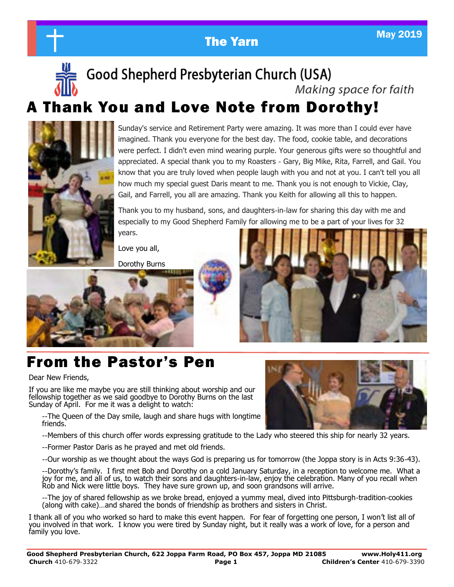

# **The Yarn May 2019**

# Good Shepherd Presbyterian Church (USA)

Making space for faith

# A Thank You and Love Note from Dorothy!



Sunday's service and Retirement Party were amazing. It was more than I could ever have imagined. Thank you everyone for the best day. The food, cookie table, and decorations were perfect. I didn't even mind wearing purple. Your generous gifts were so thoughtful and appreciated. A special thank you to my Roasters - Gary, Big Mike, Rita, Farrell, and Gail. You know that you are truly loved when people laugh with you and not at you. I can't tell you all how much my special guest Daris meant to me. Thank you is not enough to Vickie, Clay, Gail, and Farrell, you all are amazing. Thank you Keith for allowing all this to happen.

Thank you to my husband, sons, and daughters-in-law for sharing this day with me and especially to my Good Shepherd Family for allowing me to be a part of your lives for 32

years.

Love you all,

Dorothy Burns



# From the Pastor's Pen

Dear New Friends,

If you are like me maybe you are still thinking about worship and our fellowship together as we said goodbye to Dorothy Burns on the last Sunday of April. For me it was a delight to watch:

--The Queen of the Day smile, laugh and share hugs with longtime friends.

--Members of this church offer words expressing gratitude to the Lady who steered this ship for nearly 32 years.

--Former Pastor Daris as he prayed and met old friends.

--Our worship as we thought about the ways God is preparing us for tomorrow (the Joppa story is in Acts 9:36-43).

--Dorothy's family. I first met Bob and Dorothy on a cold January Saturday, in a reception to welcome me. What a joy for me, and all of us, to watch their sons and daughters-in-law, enjoy the celebration. Many of you recall when Rob and Nick were little boys. They have sure grown up, and soon grandsons will arrive.

--The joy of shared fellowship as we broke bread, enjoyed a yummy meal, dived into Pittsburgh-tradition-cookies (along with cake)…and shared the bonds of friendship as brothers and sisters in Christ.

I thank all of you who worked so hard to make this event happen. For fear of forgetting one person, I won't list all of you involved in that work. I know you were tired by Sunday night, but it really was a work of love, for a person and family you love.

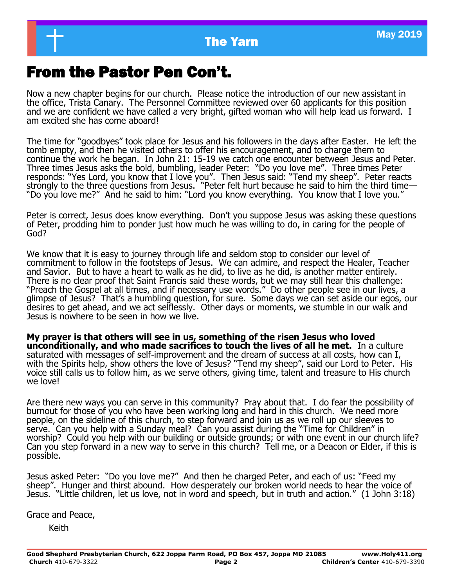## From the Pastor Pen Con't.

Now a new chapter begins for our church. Please notice the introduction of our new assistant in the office, Trista Canary. The Personnel Committee reviewed over 60 applicants for this position and we are confident we have called a very bright, gifted woman who will help lead us forward. I am excited she has come aboard!

The time for "goodbyes" took place for Jesus and his followers in the days after Easter. He left the tomb empty, and then he visited others to offer his encouragement, and to charge them to continue the work he began. In John 21: 15-19 we catch one encounter between Jesus and Peter. Three times Jesus asks the bold, bumbling, leader Peter: "Do you love me". Three times Peter responds: "Yes Lord, you know that I love you". Then Jesus said: "Tend my sheep". Peter reacts strongly to the three questions from Jesus. "Peter felt hurt because he said to him the third time— "Do you love me?" And he said to him: "Lord you know everything. You know that I love you."

Peter is correct, Jesus does know everything. Don't you suppose Jesus was asking these questions of Peter, prodding him to ponder just how much he was willing to do, in caring for the people of God?

We know that it is easy to journey through life and seldom stop to consider our level of commitment to follow in the footsteps of Jesus. We can admire, and respect the Healer, Teacher and Savior. But to have a heart to walk as he did, to live as he did, is another matter entirely. There is no clear proof that Saint Francis said these words, but we may still hear this challenge: "Preach the Gospel at all times, and if necessary use words." Do other people see in our lives, a glimpse of Jesus? That's a humbling question, for sure. Some days we can set aside our egos, our desires to get ahead, and we act selflessly. Other days or moments, we stumble in our walk and Jesus is nowhere to be seen in how we live.

**My prayer is that others will see in us, something of the risen Jesus who loved unconditionally, and who made sacrifices to touch the lives of all he met.** In a culture saturated with messages of self-improvement and the dream of success at all costs, how can I, with the Spirits help, show others the love of Jesus? "Tend my sheep", said our Lord to Peter. His voice still calls us to follow him, as we serve others, giving time, talent and treasure to His church we love!

Are there new ways you can serve in this community? Pray about that. I do fear the possibility of burnout for those of you who have been working long and hard in this church. We need more people, on the sideline of this church, to step forward and join us as we roll up our sleeves to serve. Can you help with a Sunday meal? Can you assist during the "Time for Children" in worship? Could you help with our building or outside grounds; or with one event in our church life? Can you step forward in a new way to serve in this church? Tell me, or a Deacon or Elder, if this is possible.

Jesus asked Peter: "Do you love me?" And then he charged Peter, and each of us: "Feed my sheep". Hunger and thirst abound. How desperately our broken world needs to hear the voice of Jesus. "Little children, let us love, not in word and speech, but in truth and action." (1 John 3:18)

Grace and Peace,

Keith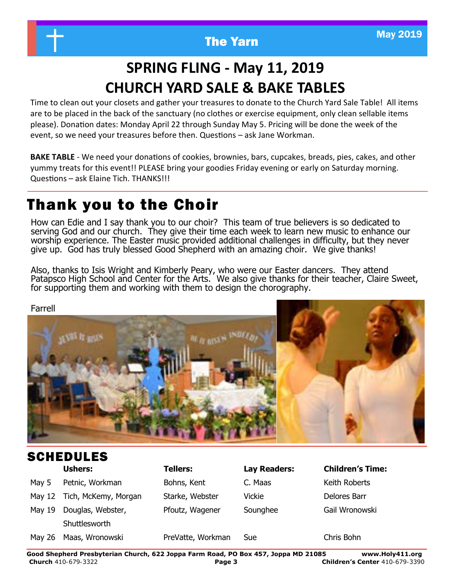

# **SPRING FLING - May 11, 2019 CHURCH YARD SALE & BAKE TABLES**

Time to clean out your closets and gather your treasures to donate to the Church Yard Sale Table! All items are to be placed in the back of the sanctuary (no clothes or exercise equipment, only clean sellable items please). Donation dates: Monday April 22 through Sunday May 5. Pricing will be done the week of the event, so we need your treasures before then. Questions – ask Jane Workman.

**BAKE TABLE** - We need your donations of cookies, brownies, bars, cupcakes, breads, pies, cakes, and other yummy treats for this event!! PLEASE bring your goodies Friday evening or early on Saturday morning. Questions – ask Elaine Tich. THANKS!!!

# Thank you to the Choir

How can Edie and I say thank you to our choir? This team of true believers is so dedicated to serving God and our church. They give their time each week to learn new music to enhance our worship experience. The Easter music provided additional challenges in difficulty, but they never give up. God has truly blessed Good Shepherd with an amazing choir. We give thanks!

Also, thanks to Isis Wright and Kimberly Peary, who were our Easter dancers. They attend Patapsco High School and Center for the Arts. We also give thanks for their teacher, Claire Sweet, for supporting them and working with them to design the chorography.



## **Ushers: Tellers: Lay Readers: Children's Time:** May 5 Petnic, Workman Bohns, Kent C. Maas Keith Roberts May 12 Tich, McKemy, Morgan Starke, Webster Vickie New Delores Barr May 19 Douglas, Webster, Pfoutz, Wagener Sounghee Gail Wronowski **Shuttlesworth** May 26 Maas, Wronowski PreVatte, Workman Sue Chris Bohn SCHEDULES

**Good Shepherd Presbyterian Church, 622 Joppa Farm Road, PO Box 457, Joppa MD 21085 www.Holy411.org Church** 410-679-3322 **Page 3 Children's Center** 410-679-3390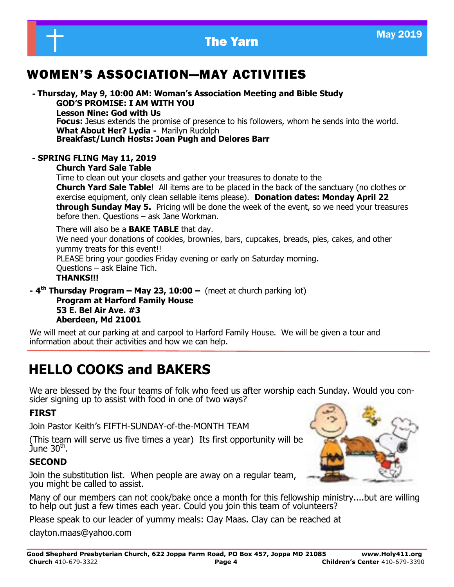

## WOMEN'S ASSOCIATION—MAY ACTIVITIES

**- Thursday, May 9, 10:00 AM: Woman's Association Meeting and Bible Study GOD'S PROMISE: I AM WITH YOU Lesson Nine: God with Us Focus:** Jesus extends the promise of presence to his followers, whom he sends into the world. **What About Her? Lydia -** Marilyn Rudolph **Breakfast/Lunch Hosts: Joan Pugh and Delores Barr**

#### **- SPRING FLING May 11, 2019**

**Church Yard Sale Table**

Time to clean out your closets and gather your treasures to donate to the **Church Yard Sale Table**! All items are to be placed in the back of the sanctuary (no clothes or exercise equipment, only clean sellable items please). **Donation dates: Monday April 22 through Sunday May 5.** Pricing will be done the week of the event, so we need your treasures before then. Questions – ask Jane Workman.

There will also be a **BAKE TABLE** that day. We need your donations of cookies, brownies, bars, cupcakes, breads, pies, cakes, and other yummy treats for this event!! PLEASE bring your goodies Friday evening or early on Saturday morning. Questions – ask Elaine Tich. **THANKS!!!**

**- 4 th Thursday Program – May 23, 10:00 –** (meet at church parking lot) **Program at Harford Family House 53 E. Bel Air Ave. #3 Aberdeen, Md 21001**

We will meet at our parking at and carpool to Harford Family House. We will be given a tour and information about their activities and how we can help.

## **HELLO COOKS and BAKERS**

We are blessed by the four teams of folk who feed us after worship each Sunday. Would you consider signing up to assist with food in one of two ways?

#### **FIRST**

Join Pastor Keith's FIFTH-SUNDAY-of-the-MONTH TEAM

(This team will serve us five times a year) Its first opportunity will be June 30th .

#### **SECOND**

Join the substitution list. When people are away on a regular team, you might be called to assist.

Many of our members can not cook/bake once a month for this fellowship ministry....but are willing to help out just a few times each year. Could you join this team of volunteers?

Please speak to our leader of yummy meals: Clay Maas. Clay can be reached at

clayton.maas@yahoo.com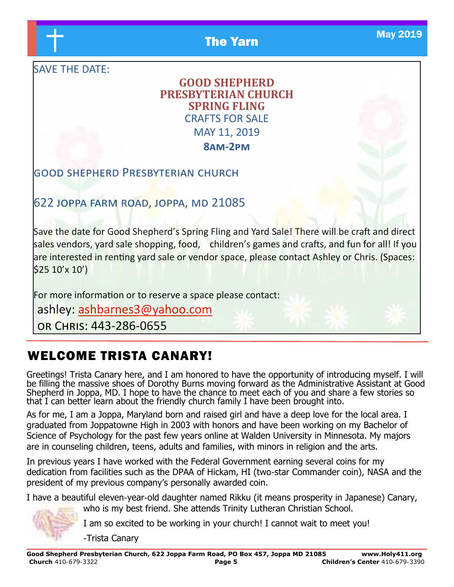**The Yarn May 2019** 

SAVE THE DATE:

## **GOOD SHEPHERD PRESBYTERIAN CHURCH SPRING FLING** CRAFTS FOR SALE MAY 11, 2019

**8am-2pm**

## good shepherd Presbyterian church

622 joppa farm road, joppa, md 21085

Save the date for Good Shepherd's Spring Fling and Yard Sale! There will be craft and direct sales vendors, yard sale shopping, food, children's games and crafts, and fun for all! If you are interested in renting yard sale or vendor space, please contact Ashley or Chris. (Spaces: \$25 10'x 10')

For more information or to reserve a space please contact:

ashley: [ashbarnes3@yahoo.com](mailto:ashbarnes3@yahoo.com)

or Chris: 443-286-0655

## WELCOME TRISTA CANARY!

Greetings! Trista Canary here, and I am honored to have the opportunity of introducing myself. I will be filling the massive shoes of Dorothy Burns moving forward as the Administrative Assistant at Good Shepherd in Joppa, MD. I hope to have the chance to meet each of you and share a few stories so that I can better learn about the friendly church family I have been brought into.

As for me, I am a Joppa, Maryland born and raised girl and have a deep love for the local area. I graduated from Joppatowne High in 2003 with honors and have been working on my Bachelor of Science of Psychology for the past few years online at Walden University in Minnesota. My majors are in counseling children, teens, adults and families, with minors in religion and the arts.

In previous years I have worked with the Federal Government earning several coins for my dedication from facilities such as the DPAA of Hickam, HI (two-star Commander coin), NASA and the president of my previous company's personally awarded coin.

I have a beautiful eleven-year-old daughter named Rikku (it means prosperity in Japanese) Canary,

who is my best friend. She attends Trinity Lutheran Christian School.

I am so excited to be working in your church! I cannot wait to meet you!

-Trista Canary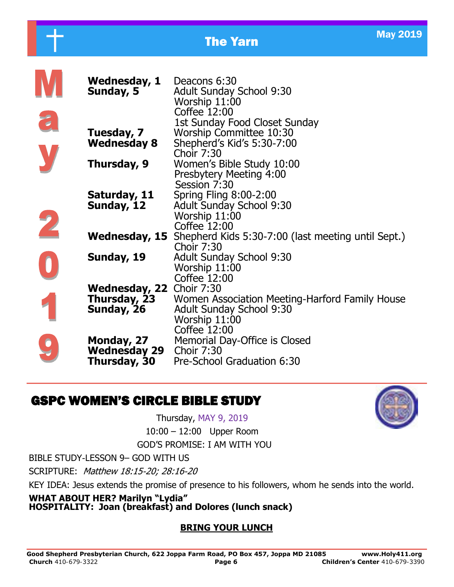|                          |                                                        | <b>May 2019</b><br><b>The Yarn</b>                                                                                 |  |
|--------------------------|--------------------------------------------------------|--------------------------------------------------------------------------------------------------------------------|--|
|                          | Wednesday, 1<br>Sunday, 5                              | Deacons 6:30<br><b>Adult Sunday School 9:30</b><br>Worship 11:00<br>Coffee 12:00                                   |  |
| 2                        | Tuesday, 7<br><b>Wednesday 8</b>                       | 1st Sunday Food Closet Sunday<br>Worship Committee 10:30<br>Shepherd's Kid's 5:30-7:00<br><b>Choir 7:30</b>        |  |
|                          | Thursday, 9<br>Saturday, 11                            | Women's Bible Study 10:00<br>Presbytery Meeting 4:00<br>Session 7:30<br><b>Spring Fling 8:00-2:00</b>              |  |
| $\overline{\phantom{a}}$ | Sunday, 12                                             | <b>Adult Sunday School 9:30</b><br>Worship 11:00<br>Coffee 12:00                                                   |  |
|                          | <b>Wednesday, 15</b>                                   | Shepherd Kids 5:30-7:00 (last meeting until Sept.)<br><b>Choir 7:30</b>                                            |  |
|                          | Sunday, 19                                             | <b>Adult Sunday School 9:30</b><br>Worship 11:00<br>Coffee 12:00                                                   |  |
|                          | Wednesday, 22 Choir 7:30<br>Thursday, 23<br>Sunday, 26 | Women Association Meeting-Harford Family House<br><b>Adult Sunday School 9:30</b><br>Worship 11:00<br>Coffee 12:00 |  |
|                          | Monday, 27<br><b>Wednesday 29</b><br>Thursday, 30      | Memorial Day-Office is Closed<br><b>Choir 7:30</b><br>Pre-School Graduation 6:30                                   |  |

## GSPC WOMEN'S CIRCLE BIBLE STUDY

Thursday, MAY 9, 2019 10:00 – 12:00 Upper Room

GOD'S PROMISE: I AM WITH YOU

BIBLE STUDY-LESSON 9– GOD WITH US

SCRIPTURE: Matthew 18:15-20; 28:16-20

KEY IDEA: Jesus extends the promise of presence to his followers, whom he sends into the world.

### **WHAT ABOUT HER? Marilyn "Lydia"**

**HOSPITALITY: Joan (breakfast) and Dolores (lunch snack)**

### **BRING YOUR LUNCH**